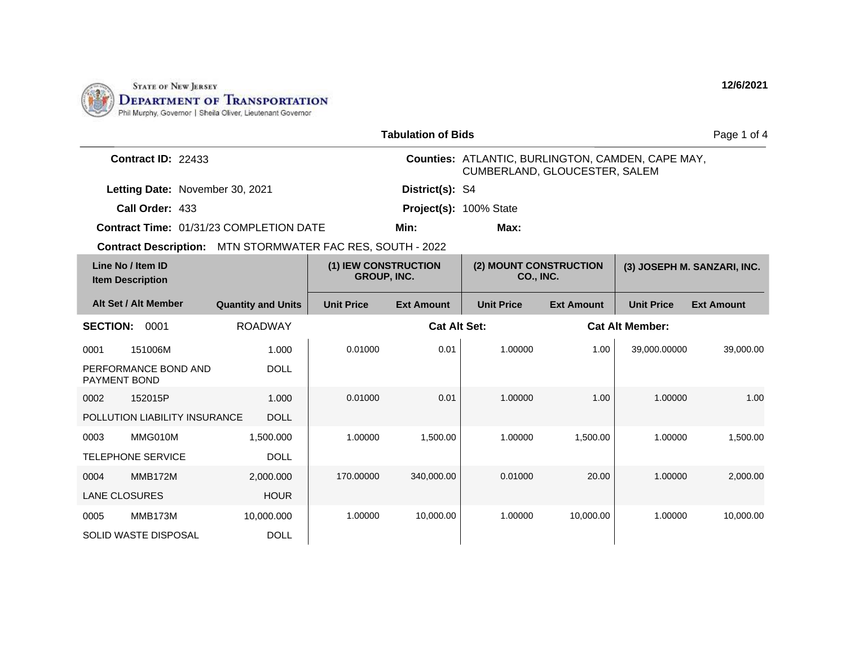

|                                           |                                              |                                                                   |                                            | <b>Tabulation of Bids</b>                                                          |                                            |                        |                   | Page 1 of 4                 |
|-------------------------------------------|----------------------------------------------|-------------------------------------------------------------------|--------------------------------------------|------------------------------------------------------------------------------------|--------------------------------------------|------------------------|-------------------|-----------------------------|
| Contract ID: 22433                        |                                              |                                                                   |                                            | Counties: ATLANTIC, BURLINGTON, CAMDEN, CAPE MAY,<br>CUMBERLAND, GLOUCESTER, SALEM |                                            |                        |                   |                             |
|                                           | Letting Date: November 30, 2021              |                                                                   |                                            | District(s): S4                                                                    |                                            |                        |                   |                             |
|                                           | Call Order: 433                              |                                                                   |                                            |                                                                                    | Project(s): 100% State                     |                        |                   |                             |
|                                           |                                              | Contract Time: 01/31/23 COMPLETION DATE                           |                                            | Min:                                                                               | Max:                                       |                        |                   |                             |
|                                           |                                              | <b>Contract Description: MTN STORMWATER FAC RES, SOUTH - 2022</b> |                                            |                                                                                    |                                            |                        |                   |                             |
|                                           | Line No / Item ID<br><b>Item Description</b> |                                                                   | (1) IEW CONSTRUCTION<br><b>GROUP, INC.</b> |                                                                                    | (2) MOUNT CONSTRUCTION<br><b>CO., INC.</b> |                        |                   | (3) JOSEPH M. SANZARI, INC. |
|                                           | Alt Set / Alt Member                         | <b>Quantity and Units</b>                                         | <b>Unit Price</b>                          | <b>Ext Amount</b>                                                                  | <b>Unit Price</b>                          | <b>Ext Amount</b>      | <b>Unit Price</b> | <b>Ext Amount</b>           |
| <b>ROADWAY</b><br><b>SECTION:</b><br>0001 |                                              |                                                                   |                                            | <b>Cat Alt Set:</b>                                                                |                                            | <b>Cat Alt Member:</b> |                   |                             |
| 0001                                      | 151006M                                      | 1.000                                                             | 0.01000                                    | 0.01                                                                               | 1.00000                                    | 1.00                   | 39,000.00000      | 39,000.00                   |
| PAYMENT BOND                              | PERFORMANCE BOND AND                         | <b>DOLL</b>                                                       |                                            |                                                                                    |                                            |                        |                   |                             |
| 0002                                      | 152015P                                      | 1.000                                                             | 0.01000                                    | 0.01                                                                               | 1.00000                                    | 1.00                   | 1.00000           | 1.00                        |
|                                           | POLLUTION LIABILITY INSURANCE                | <b>DOLL</b>                                                       |                                            |                                                                                    |                                            |                        |                   |                             |
| 0003                                      | MMG010M                                      | 1,500.000                                                         | 1.00000                                    | 1,500.00                                                                           | 1.00000                                    | 1,500.00               | 1.00000           | 1,500.00                    |
|                                           | <b>TELEPHONE SERVICE</b>                     | <b>DOLL</b>                                                       |                                            |                                                                                    |                                            |                        |                   |                             |
| 0004                                      | <b>MMB172M</b>                               | 2,000.000                                                         | 170.00000                                  | 340,000.00                                                                         | 0.01000                                    | 20.00                  | 1.00000           | 2,000.00                    |
|                                           | <b>LANE CLOSURES</b>                         | <b>HOUR</b>                                                       |                                            |                                                                                    |                                            |                        |                   |                             |
| 0005                                      | MMB173M                                      | 10,000.000                                                        | 1.00000                                    | 10,000.00                                                                          | 1.00000                                    | 10,000.00              | 1.00000           | 10,000.00                   |
|                                           | <b>SOLID WASTE DISPOSAL</b>                  | <b>DOLL</b>                                                       |                                            |                                                                                    |                                            |                        |                   |                             |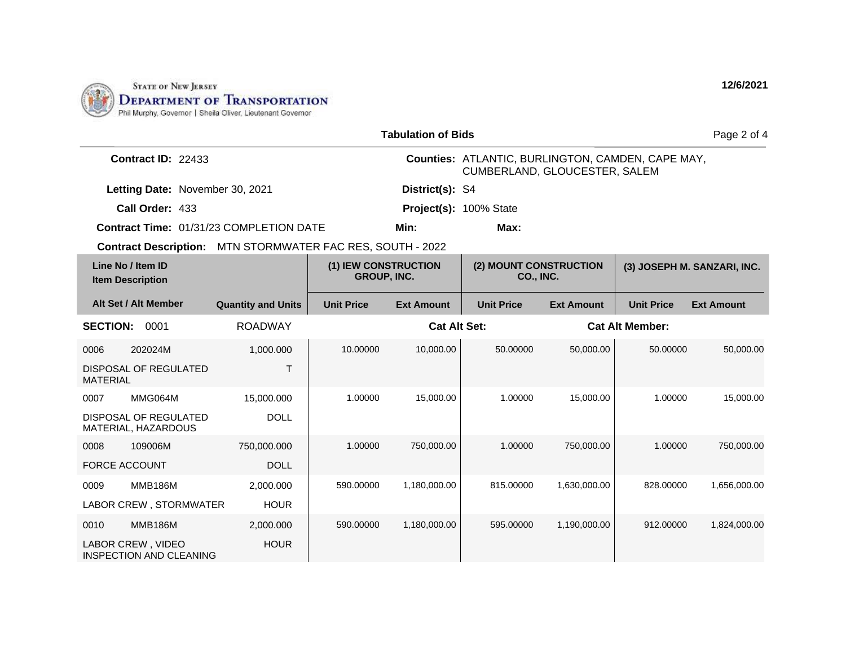

|                                                                   |                           |                                                                                           | <b>Tabulation of Bids</b> |                                            |                        | Page 2 of 4                 |                   |
|-------------------------------------------------------------------|---------------------------|-------------------------------------------------------------------------------------------|---------------------------|--------------------------------------------|------------------------|-----------------------------|-------------------|
| Contract ID: 22433                                                |                           | <b>Counties: ATLANTIC, BURLINGTON, CAMDEN, CAPE MAY,</b><br>CUMBERLAND, GLOUCESTER, SALEM |                           |                                            |                        |                             |                   |
| Letting Date: November 30, 2021                                   |                           |                                                                                           | District(s): S4           |                                            |                        |                             |                   |
| Call Order: 433                                                   |                           |                                                                                           |                           | Project(s): 100% State                     |                        |                             |                   |
| Contract Time: 01/31/23 COMPLETION DATE                           |                           |                                                                                           | Min:                      | Max:                                       |                        |                             |                   |
| <b>Contract Description: MTN STORMWATER FAC RES, SOUTH - 2022</b> |                           |                                                                                           |                           |                                            |                        |                             |                   |
| Line No / Item ID<br><b>Item Description</b>                      |                           | (1) IEW CONSTRUCTION<br><b>GROUP, INC.</b>                                                |                           | (2) MOUNT CONSTRUCTION<br><b>CO., INC.</b> |                        | (3) JOSEPH M. SANZARI, INC. |                   |
| Alt Set / Alt Member                                              | <b>Quantity and Units</b> | <b>Unit Price</b>                                                                         | <b>Ext Amount</b>         | <b>Unit Price</b>                          | <b>Ext Amount</b>      | <b>Unit Price</b>           | <b>Ext Amount</b> |
| <b>SECTION:</b><br>0001<br><b>ROADWAY</b>                         |                           |                                                                                           | <b>Cat Alt Set:</b>       |                                            | <b>Cat Alt Member:</b> |                             |                   |
| 202024M<br>0006                                                   | 1,000.000                 | 10.00000                                                                                  | 10,000.00                 | 50.00000                                   | 50,000.00              | 50.00000                    | 50,000.00         |
| DISPOSAL OF REGULATED<br><b>MATERIAL</b>                          | $\top$                    |                                                                                           |                           |                                            |                        |                             |                   |
| MMG064M<br>0007                                                   | 15,000.000                | 1.00000                                                                                   | 15,000.00                 | 1.00000                                    | 15,000.00              | 1.00000                     | 15,000.00         |
| DISPOSAL OF REGULATED<br>MATERIAL, HAZARDOUS                      | <b>DOLL</b>               |                                                                                           |                           |                                            |                        |                             |                   |
| 109006M<br>0008                                                   | 750,000.000               | 1.00000                                                                                   | 750,000.00                | 1.00000                                    | 750,000.00             | 1.00000                     | 750,000.00        |
| <b>FORCE ACCOUNT</b>                                              | <b>DOLL</b>               |                                                                                           |                           |                                            |                        |                             |                   |
| <b>MMB186M</b><br>0009                                            | 2,000.000                 | 590.00000                                                                                 | 1,180,000.00              | 815.00000                                  | 1,630,000.00           | 828.00000                   | 1,656,000.00      |
| LABOR CREW, STORMWATER                                            | <b>HOUR</b>               |                                                                                           |                           |                                            |                        |                             |                   |
| <b>MMB186M</b><br>0010                                            | 2,000.000                 | 590.00000                                                                                 | 1,180,000.00              | 595,00000                                  | 1,190,000.00           | 912.00000                   | 1,824,000.00      |
| LABOR CREW, VIDEO<br>INSPECTION AND CLEANING                      | <b>HOUR</b>               |                                                                                           |                           |                                            |                        |                             |                   |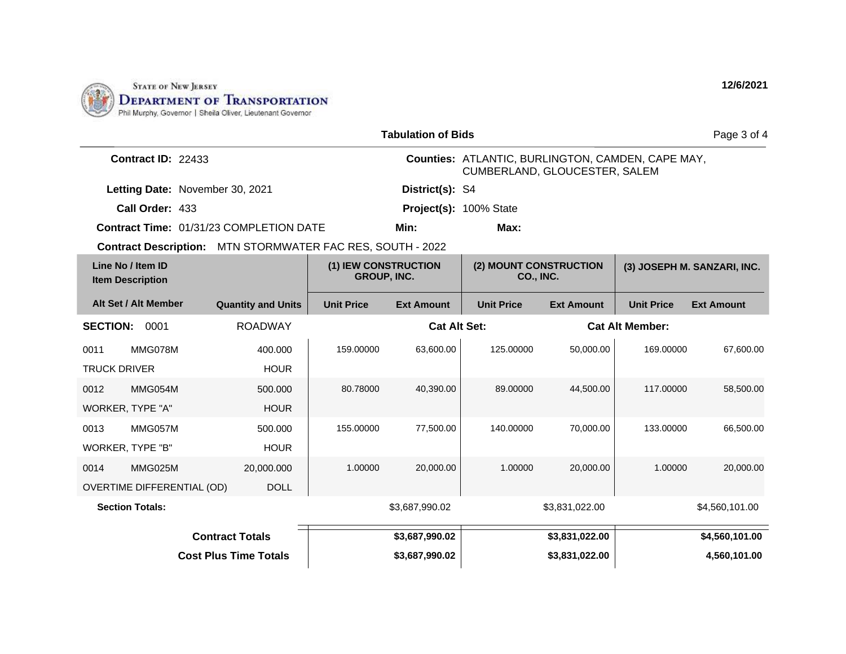

| <b>Tabulation of Bids</b>                    |                                 |                                                                   |                                                                                    |                                            |                        |                             | Page 3 of 4       |                   |
|----------------------------------------------|---------------------------------|-------------------------------------------------------------------|------------------------------------------------------------------------------------|--------------------------------------------|------------------------|-----------------------------|-------------------|-------------------|
| Contract ID: 22433                           |                                 |                                                                   | Counties: ATLANTIC, BURLINGTON, CAMDEN, CAPE MAY,<br>CUMBERLAND, GLOUCESTER, SALEM |                                            |                        |                             |                   |                   |
|                                              | Letting Date: November 30, 2021 |                                                                   |                                                                                    | District(s): S4                            |                        |                             |                   |                   |
| Call Order: 433                              |                                 |                                                                   | Project(s): 100% State                                                             |                                            |                        |                             |                   |                   |
|                                              |                                 | <b>Contract Time: 01/31/23 COMPLETION DATE</b>                    |                                                                                    | Min:<br>Max:                               |                        |                             |                   |                   |
|                                              |                                 | <b>Contract Description:</b> MTN STORMWATER FAC RES, SOUTH - 2022 |                                                                                    |                                            |                        |                             |                   |                   |
| Line No / Item ID<br><b>Item Description</b> |                                 | (1) IEW CONSTRUCTION<br><b>GROUP, INC.</b>                        |                                                                                    | (2) MOUNT CONSTRUCTION<br><b>CO., INC.</b> |                        | (3) JOSEPH M. SANZARI, INC. |                   |                   |
|                                              | Alt Set / Alt Member            | <b>Quantity and Units</b>                                         | <b>Unit Price</b>                                                                  | <b>Ext Amount</b>                          | <b>Unit Price</b>      | <b>Ext Amount</b>           | <b>Unit Price</b> | <b>Ext Amount</b> |
| <b>SECTION:</b><br>0001<br><b>ROADWAY</b>    |                                 | <b>Cat Alt Set:</b>                                               |                                                                                    |                                            | <b>Cat Alt Member:</b> |                             |                   |                   |
| 0011                                         | MMG078M                         | 400.000                                                           | 159.00000                                                                          | 63,600.00                                  | 125.00000              | 50,000.00                   | 169.00000         | 67,600.00         |
| <b>TRUCK DRIVER</b><br><b>HOUR</b>           |                                 |                                                                   |                                                                                    |                                            |                        |                             |                   |                   |
| 0012                                         | MMG054M                         | 500.000                                                           | 80.78000                                                                           | 40,390.00                                  | 89.00000               | 44.500.00                   | 117.00000         | 58,500.00         |
|                                              | WORKER, TYPE "A"                | <b>HOUR</b>                                                       |                                                                                    |                                            |                        |                             |                   |                   |
| 0013                                         | MMG057M                         | 500.000                                                           | 155.00000                                                                          | 77,500.00                                  | 140.00000              | 70,000.00                   | 133.00000         | 66,500.00         |
| WORKER, TYPE "B"<br><b>HOUR</b>              |                                 |                                                                   |                                                                                    |                                            |                        |                             |                   |                   |
| 0014                                         | MMG025M                         | 20,000.000                                                        | 1.00000                                                                            | 20,000.00                                  | 1.00000                | 20,000.00                   | 1.00000           | 20,000.00         |
|                                              | OVERTIME DIFFERENTIAL (OD)      | <b>DOLL</b>                                                       |                                                                                    |                                            |                        |                             |                   |                   |
| <b>Section Totals:</b>                       |                                 |                                                                   | \$3,687,990.02                                                                     |                                            | \$3,831,022.00         |                             | \$4,560,101.00    |                   |
| <b>Contract Totals</b>                       |                                 |                                                                   |                                                                                    | \$3,687,990.02                             |                        | \$3,831,022.00              |                   | \$4,560,101.00    |
| <b>Cost Plus Time Totals</b>                 |                                 |                                                                   |                                                                                    | \$3,687,990.02                             |                        | \$3,831,022.00              |                   | 4,560,101.00      |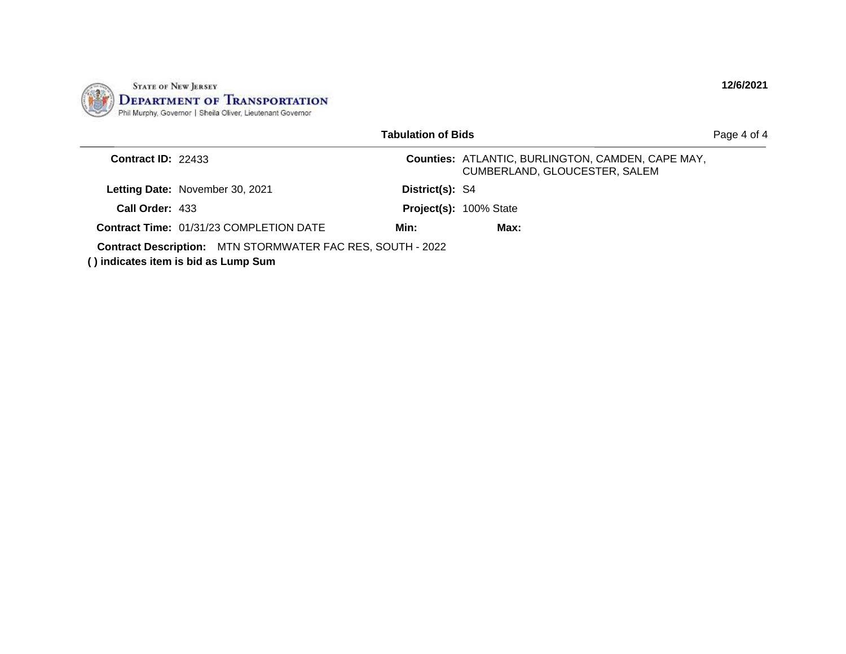

|                      |                                                                                                           | <b>Tabulation of Bids</b> |                                                                                           | Page 4 of 4 |
|----------------------|-----------------------------------------------------------------------------------------------------------|---------------------------|-------------------------------------------------------------------------------------------|-------------|
| Contract $ID: 22433$ |                                                                                                           |                           | <b>Counties: ATLANTIC, BURLINGTON, CAMDEN, CAPE MAY,</b><br>CUMBERLAND, GLOUCESTER, SALEM |             |
|                      | <b>Letting Date: November 30, 2021</b>                                                                    | District(s): S4           |                                                                                           |             |
| Call Order: 433      |                                                                                                           |                           | Project(s): 100% State                                                                    |             |
|                      | <b>Contract Time: 01/31/23 COMPLETION DATE</b>                                                            | Min:                      | Max:                                                                                      |             |
|                      | <b>Contract Description: MTN STORMWATER FAC RES, SOUTH - 2022</b><br>() indicates item is bid as Lump Sum |                           |                                                                                           |             |